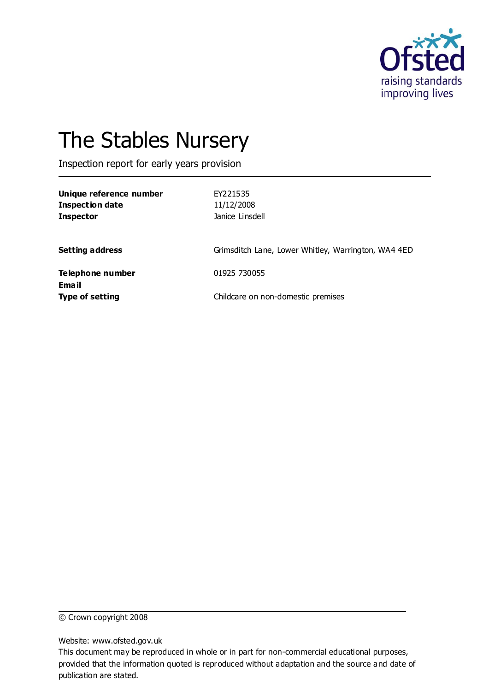

# The Stables Nursery

Inspection report for early years provision

| Unique reference number<br><b>Inspection date</b><br><b>Inspector</b> | EY221535<br>11/12/2008<br>Janice Linsdell           |
|-----------------------------------------------------------------------|-----------------------------------------------------|
| <b>Setting address</b>                                                | Grimsditch Lane, Lower Whitley, Warrington, WA4 4ED |
| Telephone number<br>Email                                             | 01925 730055                                        |
| <b>Type of setting</b>                                                | Childcare on non-domestic premises                  |

© Crown copyright 2008

Website: www.ofsted.gov.uk

This document may be reproduced in whole or in part for non-commercial educational purposes, provided that the information quoted is reproduced without adaptation and the source and date of publication are stated.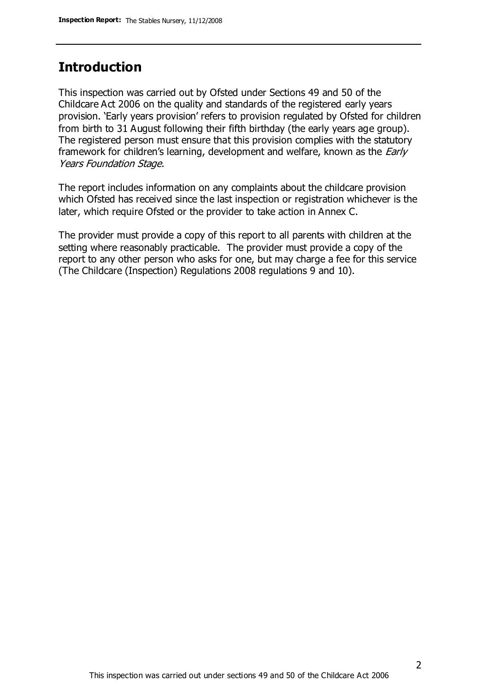## **Introduction**

This inspection was carried out by Ofsted under Sections 49 and 50 of the Childcare Act 2006 on the quality and standards of the registered early years provision. 'Early years provision' refers to provision regulated by Ofsted for children from birth to 31 August following their fifth birthday (the early years age group). The registered person must ensure that this provision complies with the statutory framework for children's learning, development and welfare, known as the *Early* Years Foundation Stage.

The report includes information on any complaints about the childcare provision which Ofsted has received since the last inspection or registration whichever is the later, which require Ofsted or the provider to take action in Annex C.

The provider must provide a copy of this report to all parents with children at the setting where reasonably practicable. The provider must provide a copy of the report to any other person who asks for one, but may charge a fee for this service (The Childcare (Inspection) Regulations 2008 regulations 9 and 10).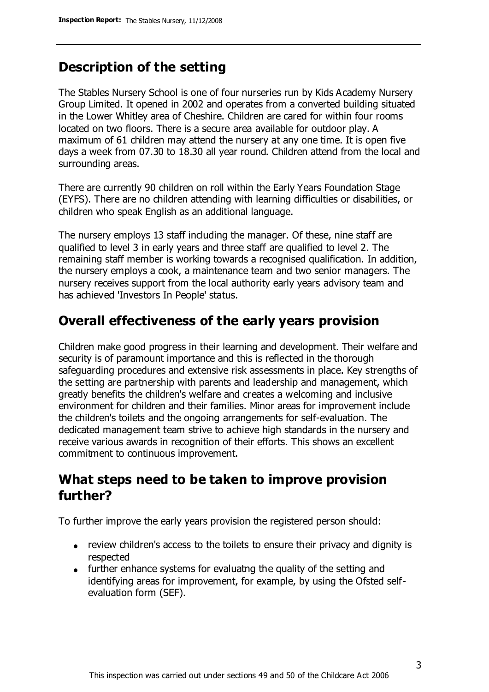# **Description of the setting**

The Stables Nursery School is one of four nurseries run by Kids Academy Nursery Group Limited. It opened in 2002 and operates from a converted building situated in the Lower Whitley area of Cheshire. Children are cared for within four rooms located on two floors. There is a secure area available for outdoor play. A maximum of 61 children may attend the nursery at any one time. It is open five days a week from 07.30 to 18.30 all year round. Children attend from the local and surrounding areas.

There are currently 90 children on roll within the Early Years Foundation Stage (EYFS). There are no children attending with learning difficulties or disabilities, or children who speak English as an additional language.

The nursery employs 13 staff including the manager. Of these, nine staff are qualified to level 3 in early years and three staff are qualified to level 2. The remaining staff member is working towards a recognised qualification. In addition, the nursery employs a cook, a maintenance team and two senior managers. The nursery receives support from the local authority early years advisory team and has achieved 'Investors In People' status.

### **Overall effectiveness of the early years provision**

Children make good progress in their learning and development. Their welfare and security is of paramount importance and this is reflected in the thorough safeguarding procedures and extensive risk assessments in place. Key strengths of the setting are partnership with parents and leadership and management, which greatly benefits the children's welfare and creates a welcoming and inclusive environment for children and their families. Minor areas for improvement include the children's toilets and the ongoing arrangements for self-evaluation. The dedicated management team strive to achieve high standards in the nursery and receive various awards in recognition of their efforts. This shows an excellent commitment to continuous improvement.

# **What steps need to be taken to improve provision further?**

To further improve the early years provision the registered person should:

- review children's access to the toilets to ensure their privacy and dignity is respected
- further enhance systems for evaluatng the quality of the setting and identifying areas for improvement, for example, by using the Ofsted selfevaluation form (SEF).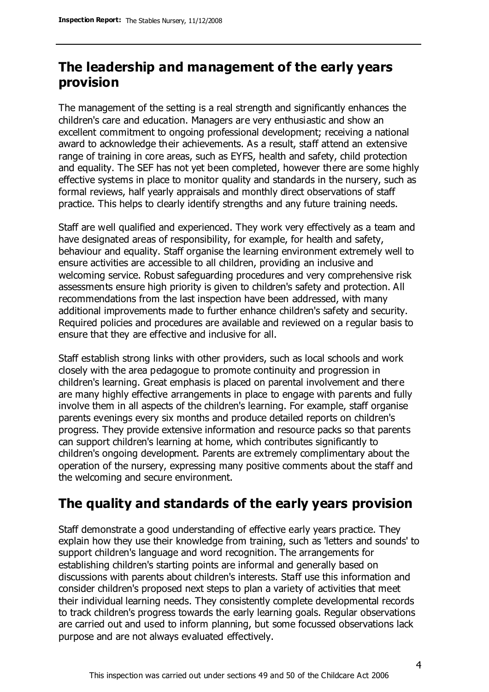# **The leadership and management of the early years provision**

The management of the setting is a real strength and significantly enhances the children's care and education. Managers are very enthusiastic and show an excellent commitment to ongoing professional development; receiving a national award to acknowledge their achievements. As a result, staff attend an extensive range of training in core areas, such as EYFS, health and safety, child protection and equality. The SEF has not yet been completed, however there are some highly effective systems in place to monitor quality and standards in the nursery, such as formal reviews, half yearly appraisals and monthly direct observations of staff practice. This helps to clearly identify strengths and any future training needs.

Staff are well qualified and experienced. They work very effectively as a team and have designated areas of responsibility, for example, for health and safety, behaviour and equality. Staff organise the learning environment extremely well to ensure activities are accessible to all children, providing an inclusive and welcoming service. Robust safeguarding procedures and very comprehensive risk assessments ensure high priority is given to children's safety and protection. All recommendations from the last inspection have been addressed, with many additional improvements made to further enhance children's safety and security. Required policies and procedures are available and reviewed on a regular basis to ensure that they are effective and inclusive for all.

Staff establish strong links with other providers, such as local schools and work closely with the area pedagogue to promote continuity and progression in children's learning. Great emphasis is placed on parental involvement and there are many highly effective arrangements in place to engage with parents and fully involve them in all aspects of the children's learning. For example, staff organise parents evenings every six months and produce detailed reports on children's progress. They provide extensive information and resource packs so that parents can support children's learning at home, which contributes significantly to children's ongoing development. Parents are extremely complimentary about the operation of the nursery, expressing many positive comments about the staff and the welcoming and secure environment.

# **The quality and standards of the early years provision**

Staff demonstrate a good understanding of effective early years practice. They explain how they use their knowledge from training, such as 'letters and sounds' to support children's language and word recognition. The arrangements for establishing children's starting points are informal and generally based on discussions with parents about children's interests. Staff use this information and consider children's proposed next steps to plan a variety of activities that meet their individual learning needs. They consistently complete developmental records to track children's progress towards the early learning goals. Regular observations are carried out and used to inform planning, but some focussed observations lack purpose and are not always evaluated effectively.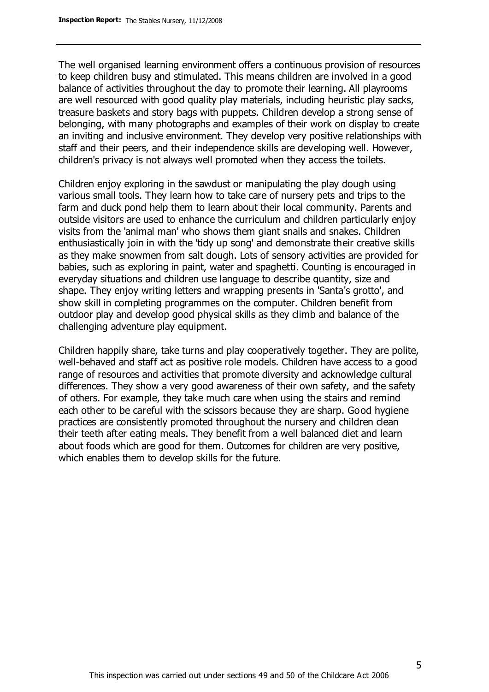The well organised learning environment offers a continuous provision of resources to keep children busy and stimulated. This means children are involved in a good balance of activities throughout the day to promote their learning. All playrooms are well resourced with good quality play materials, including heuristic play sacks, treasure baskets and story bags with puppets. Children develop a strong sense of belonging, with many photographs and examples of their work on display to create an inviting and inclusive environment. They develop very positive relationships with staff and their peers, and their independence skills are developing well. However, children's privacy is not always well promoted when they access the toilets.

Children enjoy exploring in the sawdust or manipulating the play dough using various small tools. They learn how to take care of nursery pets and trips to the farm and duck pond help them to learn about their local community. Parents and outside visitors are used to enhance the curriculum and children particularly enjoy visits from the 'animal man' who shows them giant snails and snakes. Children enthusiastically join in with the 'tidy up song' and demonstrate their creative skills as they make snowmen from salt dough. Lots of sensory activities are provided for babies, such as exploring in paint, water and spaghetti. Counting is encouraged in everyday situations and children use language to describe quantity, size and shape. They enjoy writing letters and wrapping presents in 'Santa's grotto', and show skill in completing programmes on the computer. Children benefit from outdoor play and develop good physical skills as they climb and balance of the challenging adventure play equipment.

Children happily share, take turns and play cooperatively together. They are polite, well-behaved and staff act as positive role models. Children have access to a good range of resources and activities that promote diversity and acknowledge cultural differences. They show a very good awareness of their own safety, and the safety of others. For example, they take much care when using the stairs and remind each other to be careful with the scissors because they are sharp. Good hygiene practices are consistently promoted throughout the nursery and children clean their teeth after eating meals. They benefit from a well balanced diet and learn about foods which are good for them. Outcomes for children are very positive, which enables them to develop skills for the future.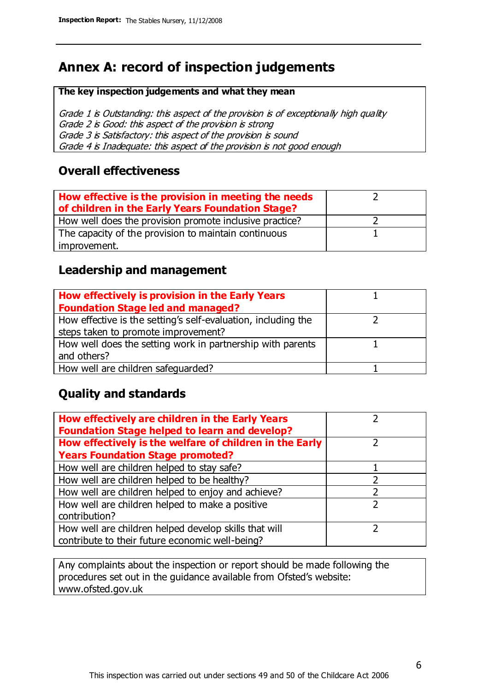# **Annex A: record of inspection judgements**

#### **The key inspection judgements and what they mean**

Grade 1 is Outstanding: this aspect of the provision is of exceptionally high quality Grade 2 is Good: this aspect of the provision is strong Grade 3 is Satisfactory: this aspect of the provision is sound Grade 4 is Inadequate: this aspect of the provision is not good enough

#### **Overall effectiveness**

| How effective is the provision in meeting the needs<br>of children in the Early Years Foundation Stage? |  |
|---------------------------------------------------------------------------------------------------------|--|
| How well does the provision promote inclusive practice?                                                 |  |
| The capacity of the provision to maintain continuous                                                    |  |
| improvement.                                                                                            |  |

#### **Leadership and management**

| How effectively is provision in the Early Years               |  |
|---------------------------------------------------------------|--|
| <b>Foundation Stage led and managed?</b>                      |  |
| How effective is the setting's self-evaluation, including the |  |
| steps taken to promote improvement?                           |  |
| How well does the setting work in partnership with parents    |  |
| and others?                                                   |  |
| How well are children safequarded?                            |  |

## **Quality and standards**

| How effectively are children in the Early Years<br><b>Foundation Stage helped to learn and develop?</b> |   |
|---------------------------------------------------------------------------------------------------------|---|
| How effectively is the welfare of children in the Early                                                 |   |
| <b>Years Foundation Stage promoted?</b>                                                                 |   |
| How well are children helped to stay safe?                                                              |   |
| How well are children helped to be healthy?                                                             |   |
| How well are children helped to enjoy and achieve?                                                      | 2 |
| How well are children helped to make a positive                                                         | າ |
| contribution?                                                                                           |   |
| How well are children helped develop skills that will                                                   |   |
| contribute to their future economic well-being?                                                         |   |

Any complaints about the inspection or report should be made following the procedures set out in the guidance available from Ofsted's website: www.ofsted.gov.uk